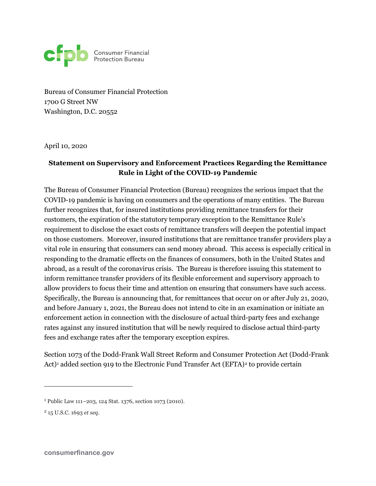

Bureau of Consumer Financial Protection 1700 G Street NW Washington, D.C. 20552

April 10, 2020

## **Statement on Supervisory and Enforcement Practices Regarding the Remittance Rule in Light of the COVID-19 Pandemic**

The Bureau of Consumer Financial Protection (Bureau) recognizes the serious impact that the COVID-19 pandemic is having on consumers and the operations of many entities. The Bureau further recognizes that, for insured institutions providing remittance transfers for their customers, the expiration of the statutory temporary exception to the Remittance Rule's requirement to disclose the exact costs of remittance transfers will deepen the potential impact on those customers. Moreover, insured institutions that are remittance transfer providers play a vital role in ensuring that consumers can send money abroad. This access is especially critical in responding to the dramatic effects on the finances of consumers, both in the United States and abroad, as a result of the coronavirus crisis. The Bureau is therefore issuing this statement to inform remittance transfer providers of its flexible enforcement and supervisory approach to allow providers to focus their time and attention on ensuring that consumers have such access. Specifically, the Bureau is announcing that, for remittances that occur on or after July 21, 2020, and before January 1, 2021, the Bureau does not intend to cite in an examination or initiate an enforcement action in connection with the disclosure of actual third-party fees and exchange rates against any insured institution that will be newly required to disclose actual third-party fees and exchange rates after the temporary exception expires.

Section 1073 of the Dodd-Frank Wall Street Reform and Consumer Protection Act (Dodd-Frank Act)<sup>[1](#page-0-0)</sup> added section 919 to the Electronic Fund Transfer Act (EFTA)<sup>[2](#page-0-1)</sup> to provide certain

 $\overline{a}$ 

<span id="page-0-0"></span><sup>1</sup> Public Law 111–203, 124 Stat. 1376, section 1073 (2010).

<span id="page-0-1"></span><sup>2</sup> 15 U.S.C. 1693 *et seq.*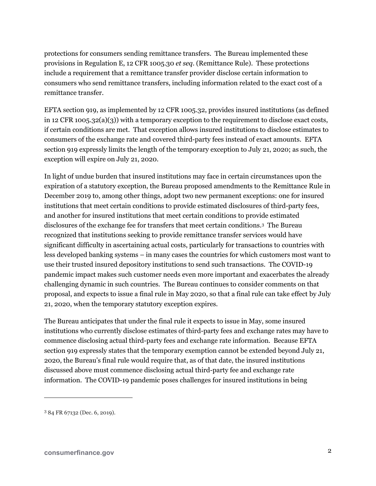protections for consumers sending remittance transfers. The Bureau implemented these provisions in Regulation E, 12 CFR 1005.30 *et seq.* (Remittance Rule). These protections include a requirement that a remittance transfer provider disclose certain information to consumers who send remittance transfers, including information related to the exact cost of a remittance transfer.

EFTA section 919, as implemented by 12 CFR 1005.32, provides insured institutions (as defined in 12 CFR 1005.32(a)(3)) with a temporary exception to the requirement to disclose exact costs, if certain conditions are met. That exception allows insured institutions to disclose estimates to consumers of the exchange rate and covered third-party fees instead of exact amounts. EFTA section 919 expressly limits the length of the temporary exception to July 21, 2020; as such, the exception will expire on July 21, 2020.

In light of undue burden that insured institutions may face in certain circumstances upon the expiration of a statutory exception, the Bureau proposed amendments to the Remittance Rule in December 2019 to, among other things, adopt two new permanent exceptions: one for insured institutions that meet certain conditions to provide estimated disclosures of third-party fees, and another for insured institutions that meet certain conditions to provide estimated disclosures of the exchange fee for transfers that meet certain conditions[.3](#page-1-0) The Bureau recognized that institutions seeking to provide remittance transfer services would have significant difficulty in ascertaining actual costs, particularly for transactions to countries with less developed banking systems – in many cases the countries for which customers most want to use their trusted insured depository institutions to send such transactions. The COVID-19 pandemic impact makes such customer needs even more important and exacerbates the already challenging dynamic in such countries. The Bureau continues to consider comments on that proposal, and expects to issue a final rule in May 2020, so that a final rule can take effect by July 21, 2020, when the temporary statutory exception expires.

The Bureau anticipates that under the final rule it expects to issue in May, some insured institutions who currently disclose estimates of third-party fees and exchange rates may have to commence disclosing actual third-party fees and exchange rate information. Because EFTA section 919 expressly states that the temporary exemption cannot be extended beyond July 21, 2020, the Bureau's final rule would require that, as of that date, the insured institutions discussed above must commence disclosing actual third-party fee and exchange rate information. The COVID-19 pandemic poses challenges for insured institutions in being

 $\overline{a}$ 

<span id="page-1-0"></span><sup>3</sup> 84 FR 67132 (Dec. 6, 2019).